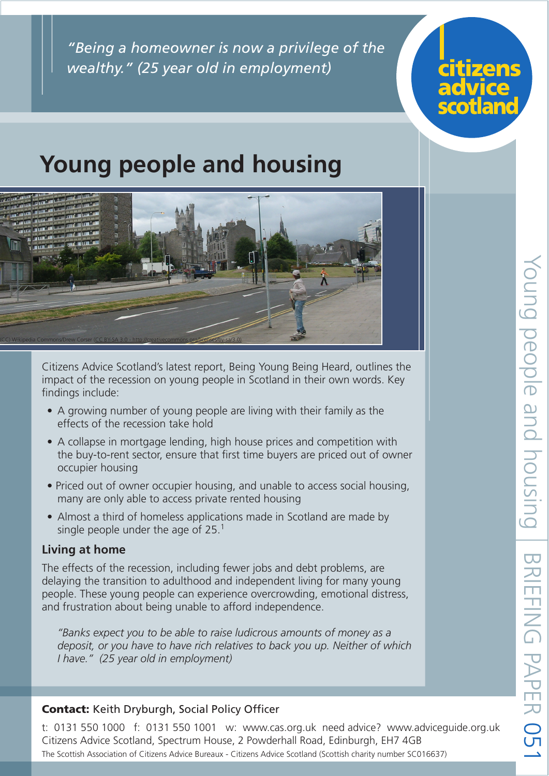*"Being a homeowner is now a privilege of the wealthy." (25 year old in employment)*



# **Young people and housing**



Citizens Advice Scotland's latest report, Being Young Being Heard, outlines the impact of the recession on young people in Scotland in their own words. Key findings include:

- A growing number of young people are living with their family as the effects of the recession take hold
- A collapse in mortgage lending, high house prices and competition with the buy-to-rent sector, ensure that first time buyers are priced out of owner occupier housing
- Priced out of owner occupier housing, and unable to access social housing, many are only able to access private rented housing
- Almost a third of homeless applications made in Scotland are made by single people under the age of  $25<sup>1</sup>$

### **Living at home**

The effects of the recession, including fewer jobs and debt problems, are delaying the transition to adulthood and independent living for many young people. These young people can experience overcrowding, emotional distress, and frustration about being unable to afford independence.

*"Banks expect you to be able to raise ludicrous amounts of money as a deposit, or you have to have rich relatives to back you up. Neither of which I have." (25 year old in employment)*

### Contact: Keith Dryburgh, Social Policy Officer

t: 0131 550 1000 f: 0131 550 1001 w: www.cas.org.uk need advice? www.adviceguide.org.uk Citizens Advice Scotland, Spectrum House, 2 Powderhall Road, Edinburgh, EH7 4GB The Scottish Association of Citizens Advice Bureaux - Citizens Advice Scotland (Scottish charity number SC016637)